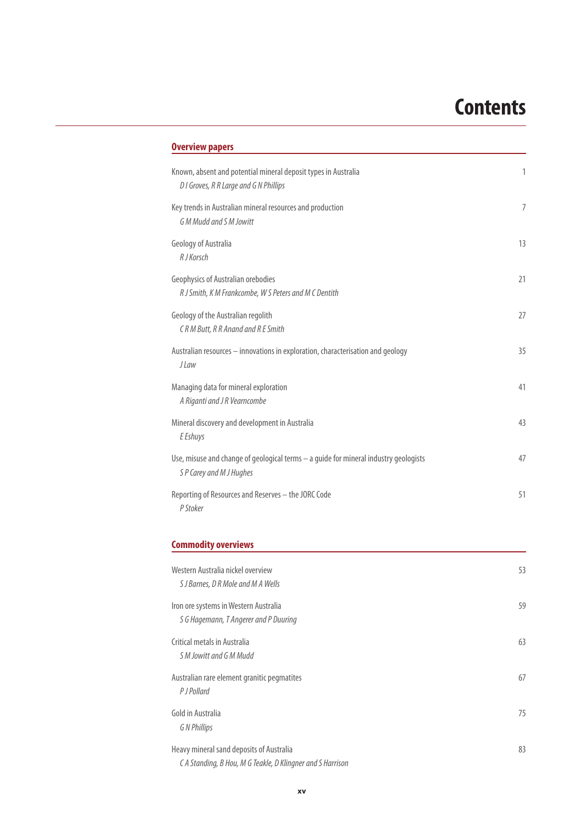# **Contents**

| <b>Overview papers</b>                                                                                           |    |
|------------------------------------------------------------------------------------------------------------------|----|
| Known, absent and potential mineral deposit types in Australia<br>D I Groves, R R Large and G N Phillips         | 1  |
| Key trends in Australian mineral resources and production<br><b>GM Mudd and SM Jowitt</b>                        | 7  |
| Geology of Australia<br>R J Korsch                                                                               | 13 |
| Geophysics of Australian orebodies<br>R J Smith, K M Frankcombe, W S Peters and M C Dentith                      | 21 |
| Geology of the Australian regolith<br>CRM Butt, RR Anand and RE Smith                                            | 27 |
| Australian resources - innovations in exploration, characterisation and geology<br><i>J</i> Law                  | 35 |
| Managing data for mineral exploration<br>A Riganti and J R Vearncombe                                            | 41 |
| Mineral discovery and development in Australia<br>E Eshuys                                                       | 43 |
| Use, misuse and change of geological terms - a guide for mineral industry geologists<br>S P Carey and M J Hughes | 47 |
| Reporting of Resources and Reserves - the JORC Code<br>P Stoker                                                  | 51 |
| <b>Commodity overviews</b>                                                                                       |    |
| Western Australia nickel overview<br>S J Barnes, D R Mole and M A Wells                                          | 53 |
| Iron ore systems in Western Australia<br>S G Hagemann, T Angerer and P Duuring                                   | 59 |
| Critical metals in Australia<br>S M Jowitt and G M Mudd                                                          | 63 |
| Australian rare element granitic pegmatites<br>P J Pollard                                                       | 67 |
| Gold in Australia<br><b>GN Phillips</b>                                                                          | 75 |
| Heavy mineral sand deposits of Australia<br>CA Standing, B Hou, M G Teakle, D Klingner and S Harrison            | 83 |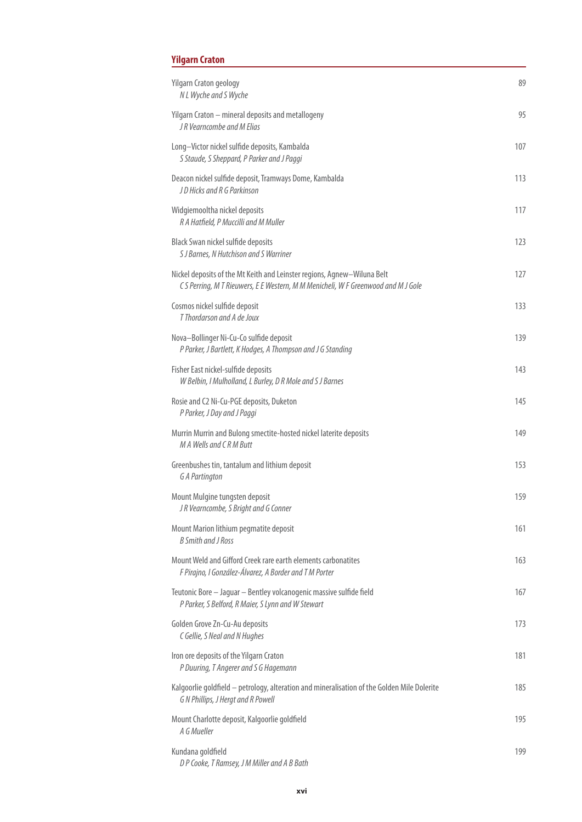## **Yilgarn Craton**

| Yilgarn Craton geology<br>N L Wyche and S Wyche                                                                                                             | 89  |
|-------------------------------------------------------------------------------------------------------------------------------------------------------------|-----|
| Yilgarn Craton - mineral deposits and metallogeny<br>JR Vearncombe and M Elias                                                                              | 95  |
| Long-Victor nickel sulfide deposits, Kambalda<br>S Staude, S Sheppard, P Parker and J Paggi                                                                 | 107 |
| Deacon nickel sulfide deposit, Tramways Dome, Kambalda<br>JD Hicks and R G Parkinson                                                                        | 113 |
| Widgiemooltha nickel deposits<br>R A Hatfield, P Muccilli and M Muller                                                                                      | 117 |
| Black Swan nickel sulfide deposits<br>S J Barnes, N Hutchison and S Warriner                                                                                | 123 |
| Nickel deposits of the Mt Keith and Leinster regions, Agnew-Wiluna Belt<br>CS Perring, M T Rieuwers, E E Western, M M Menicheli, W F Greenwood and M J Gole | 127 |
| Cosmos nickel sulfide deposit<br>T Thordarson and A de Joux                                                                                                 | 133 |
| Nova-Bollinger Ni-Cu-Co sulfide deposit<br>P Parker, J Bartlett, K Hodges, A Thompson and J G Standing                                                      | 139 |
| Fisher East nickel-sulfide deposits<br>W Belbin, I Mulholland, L Burley, D R Mole and S J Barnes                                                            | 143 |
| Rosie and C2 Ni-Cu-PGE deposits, Duketon<br>P Parker, J Day and J Paggi                                                                                     | 145 |
| Murrin Murrin and Bulong smectite-hosted nickel laterite deposits<br>M A Wells and CRM Butt                                                                 | 149 |
| Greenbushes tin, tantalum and lithium deposit<br><b>G A Partington</b>                                                                                      | 153 |
| Mount Mulgine tungsten deposit<br>JR Vearncombe, S Bright and G Conner                                                                                      | 159 |
| Mount Marion lithium pegmatite deposit<br><b>B</b> Smith and J Ross                                                                                         | 161 |
| Mount Weld and Gifford Creek rare earth elements carbonatites<br>F Pirajno, I González-Álvarez, A Border and T M Porter                                     | 163 |
| Teutonic Bore - Jaguar - Bentley volcanogenic massive sulfide field<br>P Parker, S Belford, R Maier, S Lynn and W Stewart                                   | 167 |
| Golden Grove Zn-Cu-Au deposits<br>C Gellie, S Neal and N Hughes                                                                                             | 173 |
| Iron ore deposits of the Yilgarn Craton<br>P Duuring, T Angerer and S G Hagemann                                                                            | 181 |
| Kalgoorlie goldfield - petrology, alteration and mineralisation of the Golden Mile Dolerite<br>G N Phillips, J Hergt and R Powell                           | 185 |
| Mount Charlotte deposit, Kalgoorlie goldfield<br>A G Mueller                                                                                                | 195 |
| Kundana goldfield<br>DP Cooke, T Ramsey, J M Miller and A B Bath                                                                                            | 199 |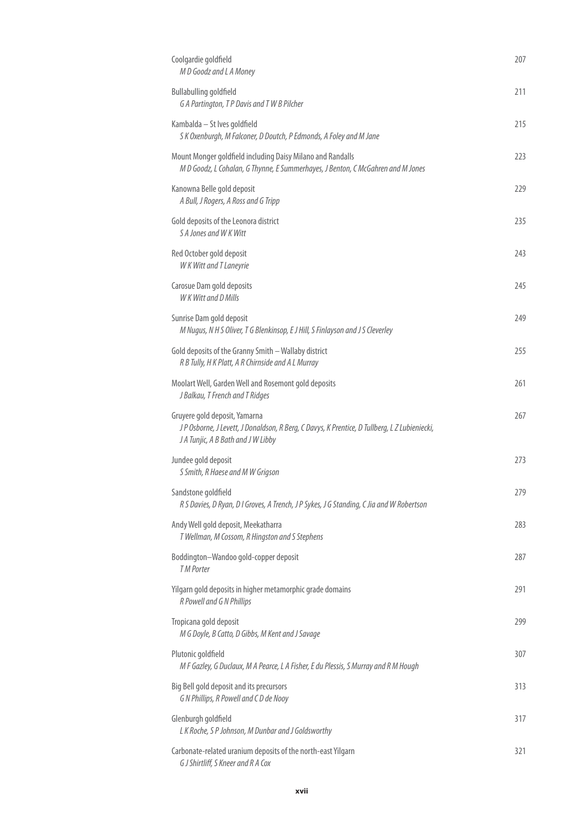| Coolgardie goldfield<br>M D Goodz and L A Money                                                                                                                     | 207 |
|---------------------------------------------------------------------------------------------------------------------------------------------------------------------|-----|
| <b>Bullabulling goldfield</b><br>G A Partington, T P Davis and T W B Pilcher                                                                                        | 211 |
| Kambalda - St Ives goldfield<br>S K Oxenburgh, M Falconer, D Doutch, P Edmonds, A Foley and M Jane                                                                  | 215 |
| Mount Monger goldfield including Daisy Milano and Randalls<br>M D Goodz, L Cohalan, G Thynne, E Summerhayes, J Benton, C McGahren and M Jones                       | 223 |
| Kanowna Belle gold deposit<br>A Bull, J Rogers, A Ross and G Tripp                                                                                                  | 229 |
| Gold deposits of the Leonora district<br>S A Jones and W K Witt                                                                                                     | 235 |
| Red October gold deposit<br><b>WK Witt and T Laneyrie</b>                                                                                                           | 243 |
| Carosue Dam gold deposits<br>W K Witt and D Mills                                                                                                                   | 245 |
| Sunrise Dam gold deposit<br>M Nugus, N H S Oliver, T G Blenkinsop, E J Hill, S Finlayson and J S Cleverley                                                          | 249 |
| Gold deposits of the Granny Smith - Wallaby district<br>R B Tully, H K Platt, A R Chirnside and A L Murray                                                          | 255 |
| Moolart Well, Garden Well and Rosemont gold deposits<br>J Balkau, T French and T Ridges                                                                             | 261 |
| Gruyere gold deposit, Yamarna<br>JP Osborne, J Levett, J Donaldson, R Berg, C Davys, K Prentice, D Tullberg, L Z Lubieniecki,<br>J A Tunjic, A B Bath and J W Libby | 267 |
| Jundee gold deposit<br>S Smith, R Haese and M W Grigson                                                                                                             | 273 |
| Sandstone goldfield<br>R S Davies, D Ryan, D I Groves, A Trench, J P Sykes, J G Standing, C Jia and W Robertson                                                     | 279 |
| Andy Well gold deposit, Meekatharra<br>T Wellman, M Cossom, R Hingston and S Stephens                                                                               | 283 |
| Boddington-Wandoo gold-copper deposit<br><b>TM Porter</b>                                                                                                           | 287 |
| Yilgarn gold deposits in higher metamorphic grade domains<br>R Powell and G N Phillips                                                                              | 291 |
| Tropicana gold deposit<br>M G Doyle, B Catto, D Gibbs, M Kent and J Savage                                                                                          | 299 |
| Plutonic goldfield<br>M F Gazley, G Duclaux, M A Pearce, L A Fisher, E du Plessis, S Murray and R M Hough                                                           | 307 |
| Big Bell gold deposit and its precursors<br>G N Phillips, R Powell and C D de Nooy                                                                                  | 313 |
| Glenburgh goldfield<br>LK Roche, SP Johnson, M Dunbar and J Goldsworthy                                                                                             | 317 |
| Carbonate-related uranium deposits of the north-east Yilgarn<br>G J Shirtliff, S Kneer and R A Cox                                                                  | 321 |
|                                                                                                                                                                     |     |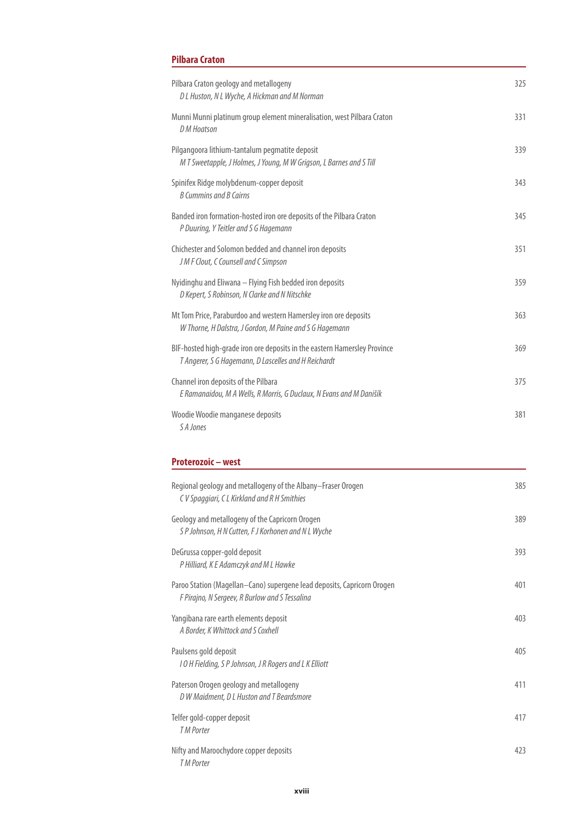## **Pilbara Craton**

| Pilbara Craton geology and metallogeny<br>D L Huston, N L Wyche, A Hickman and M Norman                                           | 325 |
|-----------------------------------------------------------------------------------------------------------------------------------|-----|
| Munni Munni platinum group element mineralisation, west Pilbara Craton<br>D M Hoatson                                             | 331 |
| Pilgangoora lithium-tantalum pegmatite deposit<br>M T Sweetapple, J Holmes, J Young, M W Grigson, L Barnes and S Till             | 339 |
| Spinifex Ridge molybdenum-copper deposit<br><b>B Cummins and B Cairns</b>                                                         | 343 |
| Banded iron formation-hosted iron ore deposits of the Pilbara Craton<br>P Duuring, Y Teitler and S G Hagemann                     | 345 |
| Chichester and Solomon bedded and channel iron deposits<br>J M F Clout, C Counsell and C Simpson                                  | 351 |
| Nyidinghu and Eliwana - Flying Fish bedded iron deposits<br>D Kepert, S Robinson, N Clarke and N Nitschke                         | 359 |
| Mt Tom Price, Paraburdoo and western Hamersley iron ore deposits<br>W Thorne, H Dalstra, J Gordon, M Paine and S G Hagemann       | 363 |
| BIF-hosted high-grade iron ore deposits in the eastern Hamersley Province<br>T Angerer, S G Hagemann, D Lascelles and H Reichardt | 369 |
| Channel iron deposits of the Pilbara<br>E Ramanaidou, M A Wells, R Morris, G Duclaux, N Evans and M Danišík                       | 375 |
| Woodie Woodie manganese deposits<br>S A Jones                                                                                     | 381 |
| Proterozoic - west                                                                                                                |     |
| Regional geology and metallogeny of the Albany-Fraser Orogen<br>CV Spaggiari, CL Kirkland and R H Smithies                        | 385 |
| Geology and metallogeny of the Capricorn Orogen<br>S P Johnson, H N Cutten, F J Korhonen and N L Wyche                            | 389 |
| DeGrussa copper-gold deposit<br>P Hilliard, K E Adamczyk and M L Hawke                                                            | 393 |
| Paroo Station (Magellan-Cano) supergene lead deposits, Capricorn Orogen<br>F Pirajno, N Sergeev, R Burlow and S Tessalina         | 401 |

| Paulsens gold deposit                                   | 405 |
|---------------------------------------------------------|-----|
| I O H Fielding, S P Johnson, J R Rogers and L K Elliott |     |
| Paterson Orogen geology and metallogeny                 | 411 |
| D W Maidment, D L Huston and T Beardsmore               |     |
| Telfer gold-copper deposit                              | 417 |
| <b>TM Porter</b>                                        |     |
| Nifty and Maroochydore copper deposits                  | 423 |
| <b>TM Porter</b>                                        |     |
|                                                         |     |

Yangibana rare earth elements deposit **ACCO** and the second term of the second term of the 403

A Border, K Whittock and S Coxhell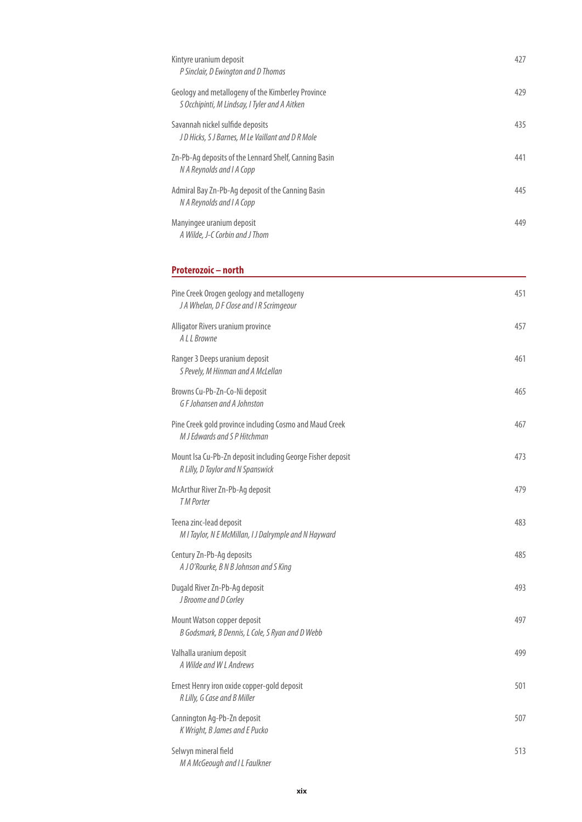| Kintyre uranium deposit<br>P Sinclair, D Ewington and D Thomas                                     | 427 |
|----------------------------------------------------------------------------------------------------|-----|
| Geology and metallogeny of the Kimberley Province<br>S Occhipinti, M Lindsay, I Tyler and A Aitken | 429 |
| Savannah nickel sulfide deposits<br>JD Hicks, SJ Barnes, M Le Vaillant and DR Mole                 | 435 |
| Zn-Pb-Ag deposits of the Lennard Shelf, Canning Basin<br>N A Reynolds and I A Copp                 | 441 |
| Admiral Bay Zn-Pb-Ag deposit of the Canning Basin<br>N A Reynolds and I A Copp                     | 445 |
| Manyingee uranium deposit<br>A Wilde, J-C Corbin and J Thom                                        | 449 |
| Proterozoic - north                                                                                |     |
| Pine Creek Orogen geology and metallogeny<br>J A Whelan, D F Close and I R Scrimgeour              | 451 |
| Alligator Rivers uranium province<br>A L L Browne                                                  | 457 |
| Ranger 3 Deeps uranium deposit<br>S Pevely, M Hinman and A McLellan                                | 461 |
| Browns Cu-Pb-Zn-Co-Ni deposit<br>G F Johansen and A Johnston                                       | 465 |
| Pine Creek gold province including Cosmo and Maud Creek<br>M J Edwards and S P Hitchman            | 467 |
| Mount Isa Cu-Pb-Zn deposit including George Fisher deposit<br>R Lilly, D Taylor and N Spanswick    | 473 |
| McArthur River Zn-Pb-Ag deposit<br><b>TM Porter</b>                                                | 479 |
| Teena zinc-lead deposit<br>M I Taylor, N E McMillan, I J Dalrymple and N Hayward                   | 483 |
| Century Zn-Pb-Ag deposits<br>A J O'Rourke, B N B Johnson and S King                                | 485 |
| Dugald River Zn-Pb-Ag deposit<br>J Broome and D Corley                                             | 493 |
| Mount Watson copper deposit<br>B Godsmark, B Dennis, L Cole, S Ryan and D Webb                     | 497 |
| Valhalla uranium deposit<br>A Wilde and W L Andrews                                                | 499 |
| Ernest Henry iron oxide copper-gold deposit<br>R Lilly, G Case and B Miller                        | 501 |
| Cannington Ag-Pb-Zn deposit<br>K Wright, B James and E Pucko                                       | 507 |
| Selwyn mineral field                                                                               | 513 |

M A McGeough and I L Faulkner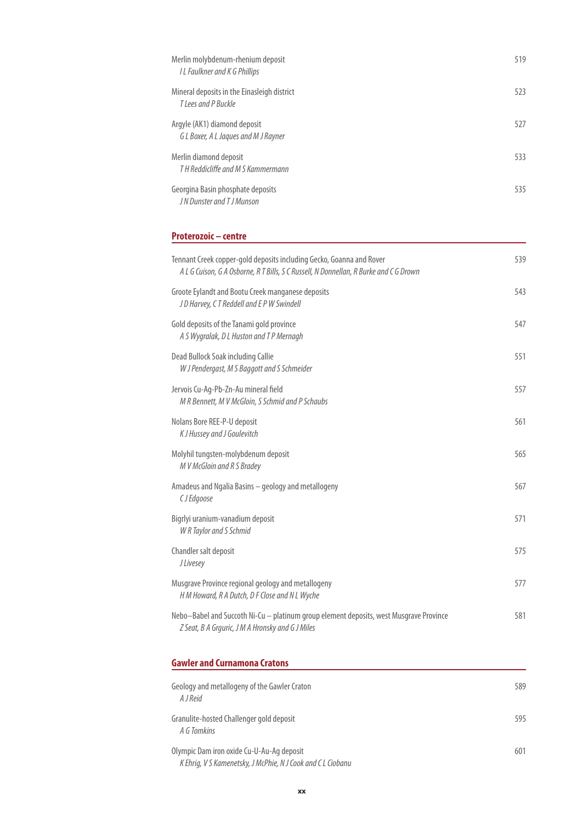| Merlin molybdenum-rhenium deposit<br>I L Faulkner and K G Phillips   | 519 |
|----------------------------------------------------------------------|-----|
| Mineral deposits in the Einasleigh district<br>T Lees and P Buckle   | 523 |
| Argyle (AK1) diamond deposit<br>G L Boxer, A L Jaques and M J Rayner | 527 |
| Merlin diamond deposit<br>TH Reddicliffe and M S Kammermann          | 533 |
| Georgina Basin phosphate deposits<br>JN Dunster and TJ Munson        | 535 |

### **Proterozoic – centre**

| Tennant Creek copper-gold deposits including Gecko, Goanna and Rover<br>A L G Cuison, G A Osborne, R T Bills, S C Russell, N Donnellan, R Burke and C G Drown | 539 |
|---------------------------------------------------------------------------------------------------------------------------------------------------------------|-----|
| Groote Eylandt and Bootu Creek manganese deposits<br>JD Harvey, CT Reddell and EP W Swindell                                                                  | 543 |
| Gold deposits of the Tanami gold province<br>A S Wygralak, D L Huston and T P Mernagh                                                                         | 547 |
| Dead Bullock Soak including Callie<br>W J Pendergast, M S Baggott and S Schmeider                                                                             | 551 |
| Jervois Cu-Ag-Pb-Zn-Au mineral field<br>M R Bennett, M V McGloin, S Schmid and P Schaubs                                                                      | 557 |
| Nolans Bore REE-P-U deposit<br>K J Hussey and J Goulevitch                                                                                                    | 561 |
| Molyhil tungsten-molybdenum deposit<br>M V McGloin and R S Bradey                                                                                             | 565 |
| Amadeus and Ngalia Basins - geology and metallogeny<br>CJ Edgoose                                                                                             | 567 |
| Bigrlyi uranium-vanadium deposit<br>W R Taylor and S Schmid                                                                                                   | 571 |
| Chandler salt deposit<br><b>JLivesey</b>                                                                                                                      | 575 |
| Musgrave Province regional geology and metallogeny<br>H M Howard, R A Dutch, D F Close and N L Wyche                                                          | 577 |
| Nebo-Babel and Succoth Ni-Cu - platinum group element deposits, west Musgrave Province<br>Z Seat, B A Grguric, J M A Hronsky and G J Miles                    | 581 |
| <b>Gawler and Curnamona Cratons</b>                                                                                                                           |     |
| Geology and metallogeny of the Gawler Craton<br>A I Reid                                                                                                      | 589 |
| Granulite-hosted Challenger gold deposit<br>A G Tomkins                                                                                                       | 595 |

| Olympic Dam iron oxide Cu-U-Au-Ag deposit                   | 601 |
|-------------------------------------------------------------|-----|
| K Ehrig, V S Kamenetsky, J McPhie, N J Cook and C L Ciobanu |     |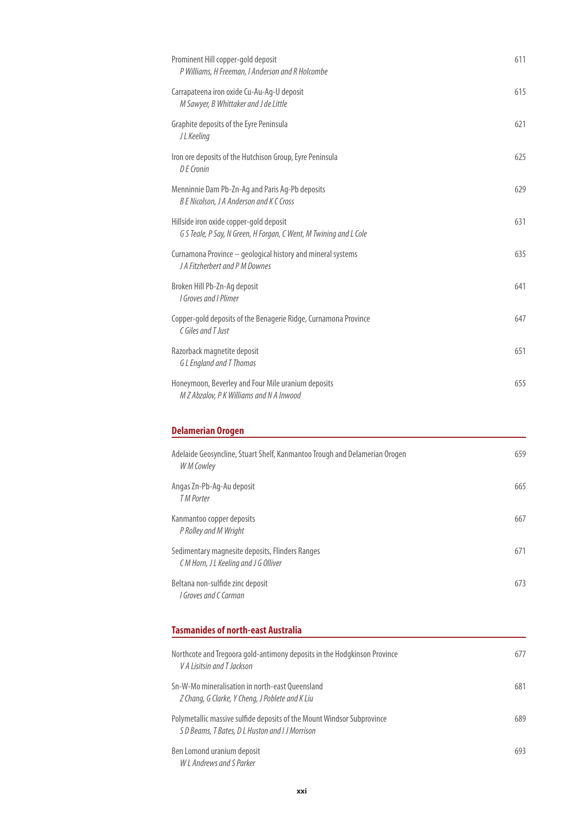| Prominent Hill copper-gold deposit<br>P Williams, H Freeman, I Anderson and R Holcombe                                    | 611 |
|---------------------------------------------------------------------------------------------------------------------------|-----|
| Carrapateena iron oxide Cu-Au-Ag-U deposit<br>M Sawyer, B Whittaker and J de Little                                       | 615 |
| Graphite deposits of the Eyre Peninsula<br>J L Keeling                                                                    | 621 |
| Iron ore deposits of the Hutchison Group, Eyre Peninsula<br>$D F$ Cronin                                                  | 625 |
| Menninnie Dam Pb-Zn-Ag and Paris Ag-Pb deposits<br>B E Nicolson, J A Anderson and K C Cross                               | 629 |
| Hillside iron oxide copper-gold deposit<br>G S Teale, P Say, N Green, H Forgan, C Went, M Twining and L Cole              | 631 |
| Curnamona Province - geological history and mineral systems<br>J A Fitzherbert and P M Downes                             | 635 |
| Broken Hill Pb-Zn-Ag deposit<br>I Groves and I Plimer                                                                     | 641 |
| Copper-gold deposits of the Benagerie Ridge, Curnamona Province<br>C Giles and T Just                                     | 647 |
| Razorback magnetite deposit<br><b>GL</b> England and T Thomas                                                             | 651 |
| Honeymoon, Beverley and Four Mile uranium deposits<br>M Z Abzalov, P K Williams and N A Inwood                            | 655 |
| <b>Delamerian Orogen</b>                                                                                                  |     |
|                                                                                                                           |     |
| Adelaide Geosyncline, Stuart Shelf, Kanmantoo Trough and Delamerian Orogen<br>W M Cowley                                  | 659 |
| Angas Zn-Pb-Ag-Au deposit<br><b>TM Porter</b>                                                                             | 665 |
| Kanmantoo copper deposits<br>P Rolley and M Wright                                                                        | 667 |
| Sedimentary magnesite deposits, Flinders Ranges<br>CM Horn, JL Keeling and J G Olliver                                    | 671 |
| Beltana non-sulfide zinc deposit<br>I Groves and C Carman                                                                 | 673 |
| <b>Tasmanides of north-east Australia</b>                                                                                 |     |
| Northcote and Tregoora gold-antimony deposits in the Hodgkinson Province                                                  | 677 |
| V A Lisitsin and T Jackson<br>Sn-W-Mo mineralisation in north-east Queensland                                             | 681 |
| Z Chang, G Clarke, Y Cheng, J Poblete and K Liu<br>Polymetallic massive sulfide deposits of the Mount Windsor Subprovince | 689 |
| S D Beams, T Bates, D L Huston and I J Morrison<br>Ben Lomond uranium deposit<br>W L Andrews and S Parker                 | 693 |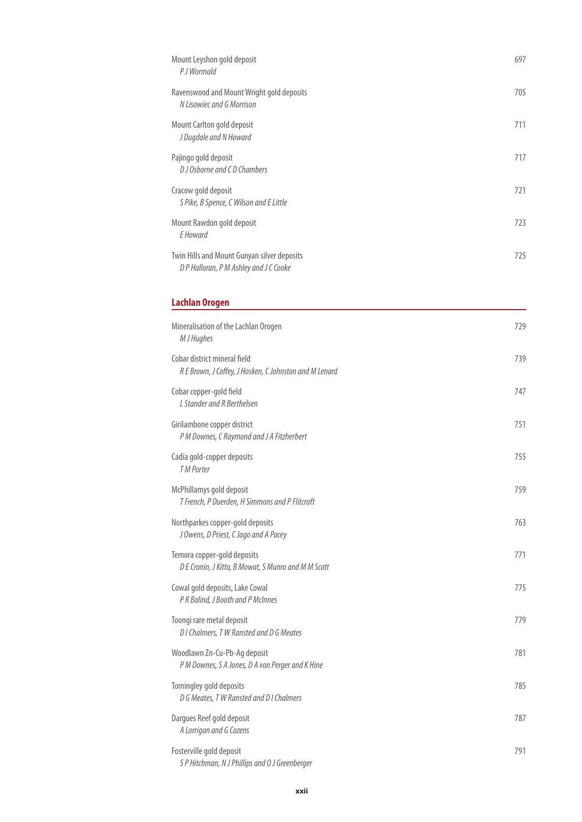| Mount Leyshon gold deposit<br>P J Wormald                                          | 697 |
|------------------------------------------------------------------------------------|-----|
| Ravenswood and Mount Wright gold deposits<br>N Lisowiec and G Morrison             | 705 |
| Mount Carlton gold deposit<br>J Dugdale and N Howard                               | 711 |
| Pajingo gold deposit<br>D J Osborne and C D Chambers                               | 717 |
| Cracow gold deposit<br>S Pike, B Spence, C Wilson and E Little                     | 721 |
| Mount Rawdon gold deposit<br>E Howard                                              | 723 |
| Twin Hills and Mount Gunyan silver deposits<br>DP Halloran, PM Ashley and JC Cooke | 725 |
|                                                                                    |     |

### **Lachlan Orogen**

| Mineralisation of the Lachlan Orogen<br>M J Hughes                                     | 729 |
|----------------------------------------------------------------------------------------|-----|
| Cobar district mineral field<br>R E Brown, J Coffey, J Hosken, C Johnston and M Lenard | 739 |
| Cobar copper-gold field<br>L Stander and R Berthelsen                                  | 747 |
| Girilambone copper district<br>P M Downes, C Raymond and J A Fitzherbert               | 751 |
| Cadia gold-copper deposits<br><b>TM Porter</b>                                         | 755 |
| McPhillamys gold deposit<br>T French, P Duerden, H Simmons and P Flitcroft             | 759 |
| Northparkes copper-gold deposits<br>J Owens, D Priest, C Jago and A Pacey              | 763 |
| Temora copper-gold deposits<br>D E Cronin, J Kitto, B Mowat, S Munro and M M Scott     | 771 |
| Cowal gold deposits, Lake Cowal<br>P R Balind, J Booth and P McInnes                   | 775 |
| Toongi rare metal deposit<br>D I Chalmers, T W Ransted and D G Meates                  | 779 |
| Woodlawn Zn-Cu-Pb-Ag deposit<br>P M Downes, S A Jones, D A von Perger and K Hine       | 781 |
| Tomingley gold deposits<br>D G Meates, T W Ransted and D I Chalmers                    | 785 |
| Dargues Reef gold deposit<br>A Lorrigan and G Cozens                                   | 787 |
| Fosterville gold deposit<br>S P Hitchman, N J Phillips and O J Greenberger             | 791 |